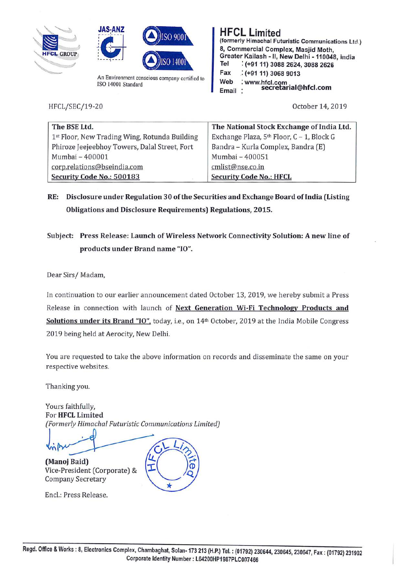





An Environment conscious company certified to ISO 14001 Standard

HFCL/SEC/19-20

**HFCL Limited (formerly Himachal Futuristic Communications Ltd** i **8, Commercial Complex, Masjid Moth, Greater Kailash -11, New Delhi -110048, india Tel** : **(+91 11) 3088 2624, 3088 2626 Fax** .: **(+91 11) 3068 9013 Web** : **www.hfcl.com Email secretarial@hfcl.com** 

October 14, 2019

| The BSE Ltd.                                  | The National Stock Exchange of India Ltd. |
|-----------------------------------------------|-------------------------------------------|
| 1st Floor, New Trading Wing, Rotunda Building | Exchange Plaza, 5th Floor, C - 1, Block G |
| Phiroze Jeejeebhoy Towers, Dalal Street, Fort | Bandra - Kurla Complex, Bandra (E)        |
| Mumbai - 400001                               | Mumbai - 400051                           |
| corp.relations@bseindia.com                   | cmlist@nse.co.in                          |
| Security Code No.: 500183                     | <b>Security Code No.: HFCL</b>            |

**RE: Disclosure under Regulation 30 of the Securities and Exchange Board oflndia (Listing Obligations and Disclosure Requirements) Regulations, 2015.** 

**Subject: Press Release: Launch of Wireless Network Connectivity Solution: A new line of products under Brand name "IO".** 

Dear Sirs/ Madam,

In continuation to our earlier announcement dated October 13, 2019, we hereby submit a Press Release in connection with launch of **Next Generation Wi-Fi Technology Products and**  Solutions under its Brand "IO", today, i.e., on 14<sup>th</sup> October, 2019 at the India Mobile Congress 2019 being held at Aerocity, New Delhi.

You are requested to take the above information on records and disseminate the same on your respective websites.

Thanking you.

Yours faithfully, For **HFCL Limited**  *(Formerly Himachal Futuristic Communications limited)* 

l<sub>in</sub>

**(Manoj Baid)**  Vice-President (Corporate) & Company Secretary

Encl.: Press Release. \*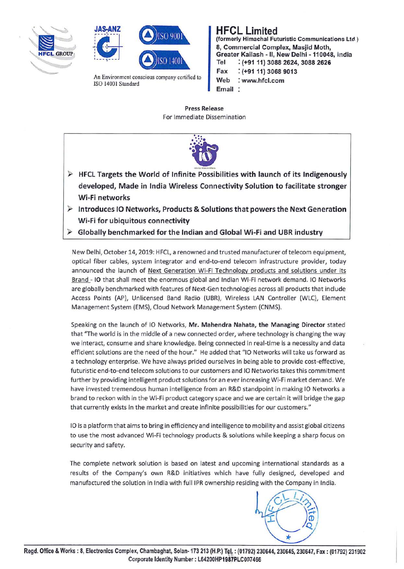





An Environment conscious company certified to ISO 14001 Standard

**HFCL Limited (formerly Himachal Futuristic Communications Ltd.) 8, Commercial Complex, Masjid Moth, Greater Kailash -11, New Delhi -110048, india Tel** : **(+9111) 3088 2624, 3088 2626 Fax** : **(+91 11) 3068 9013 Web** : **www.hfcl.com Email** 

Press Release For Immediate Dissemination



- ► **HFCL Targets the World of Infinite Possibilities with launch of its Indigenously developed, Made in India Wireless Connectivity Solution to facilitate stronger Wi-Fi networks**
- ► **Introduces 10 Networks, Products** & **Solutions that powers the Next Generation Wi-Fi for ubiquitous connectivity**
- ► **Globally benchmarked for the Indian and Global Wi-Fi and UBR industry**

New Delhi, October 14, 2019: HFCL, a renowned and trusted manufacturer oftelecom equipment, optical fiber cables, system integrator and end-to-end telecom infrastructure provider, today announced the launch of Next Generation Wi-Fi Technology products and solutions under its Brand - **10** that shall meet the enormous global and Indian Wi-Fi network demand. 10 Networks are globally benchmarked with features of Next-Gen technologies across all products that include Access Points (AP), Unlicensed Band Radio (UBR), Wireless LAN Controller (WLC), Element Management System (EMS), Cloud Network Management System (CNMS).

Speaking on the launch of 10 Networks, **Mr. Mahendra Nahata, the Managing Director** stated that "The world is in the middle of a new connected order, where technology is changing the way we interact, consume and share knowledge. Being connected in real-time is a necessity and data efficient solutions are the need of the hour." He added that "10 Networks will take us forward as a technology enterprise. We have always prided ourselves in being able to provide cost-effective, futuristic end-to-end telecom solutions to our customers and 10 Networks takes this commitment further by providing intelligent product solutions for an ever increasing Wi-Fi market demand. We have invested tremendous human intelligence from an R&D standpoint in making 10 Networks a brand to reckon with in the Wi-Fi product category space and we are certain it will bridge the gap that currently exists in the market and create infinite possibilities for our customers."

10 is a platform that aims to bring in efficiency and intelligence to mobility and assist global citizens to use the most advanced Wi-Fi technology products & solutions while keeping a sharp focus on security and safety.

The complete network solution is based on latest and upcoming international standards as a results of the Company's own R&D initiatives which have fully designed, developed and manufactured the solution in India with full IPR ownership residing with the Company in India.

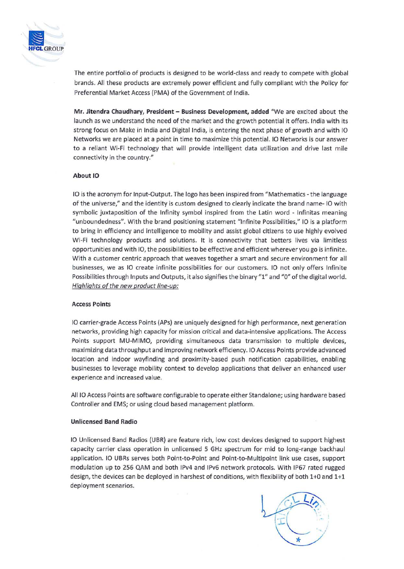

The entire portfolio of products is designed to be world-class and ready to compete with global brands. All these products are extremely power efficient and fully compliant with the Policy for Preferential Market Access (PMA) of the Government of India.

**Mr. Jitendra Chaudhary, President** - **Business Development, added** "We are excited about the launch as we understand the need of the market and the growth potential it offers. India with its strong focus on Make in India and Digital India, is entering the next phase of growth and with 10 Networks we are placed at a point in time to maximize this potential. 10 Networks is our answer to a reliant Wi-Fi technology that will provide intelligent data utilization and drive last mile connectivity in the country."

## **About 10**

10 is the acronym for Input-Output. The logo has been inspired from "Mathematics - the language of the universe," and the identity is custom designed to clearly indicate the brand name- 10 with symbolic juxtaposition of the Infinity symbol inspired from the Latin word - lnfinitas meaning "unboundedness". With the brand positioning statement "Infinite Possibilities," IO is a platform to bring in efficiency and intelligence to mobility and assist global citizens to use highly evolved Wi-Fi technology products and solutions. It is connectivity that betters lives via limitless opportunities and with 10, the possibilities to be effective and efficient wherever you go is infinite. With a customer centric approach that weaves together a smart and secure environment for all businesses, we as 10 create infinite possibilities for our customers. 10 not only offers Infinite Possibilities through Inputs and Outputs, it also signifies the binary "1" and "O" of the digital world. Highlights of the new product line-up:

## **Access Points**

10 carrier-grade Access Points (APs) are uniquely designed for high performance, next generation networks, providing high capacity for mission critical and data-intensive applications. The Access Points support MU-MIMO, providing simultaneous data transmission to multiple devices, maximizing data throughput and improving network efficiency. 10 Access Points provide advanced location and indoor wayfinding and proximity-based push notification capabilities, enabling businesses to leverage mobility context to develop applications that deliver an enhanced user experience and increased value.

All 10 Access Points are software configurable to operate either Standalone; using hardware based Controller and EMS; or using cloud based management platform.

## **Unlicensed Band Radio**

10 Unlicensed Band Radios (UBR) are feature rich, low cost devices designed to support highest capacity carrier class operation in unlicensed 5 GHz spectrum for mid to long-range backhaul application. 10 UBRs serves both Point-to-Point and Point-to-Multipoint link use cases, support modulation up to 256 QAM and both 1Pv4 and 1Pv6 network protocols. With IP67 rated rugged design, the devices can be deployed in harshest of conditions, with flexibility of both 1+0 and 1+1 deployment scenarios.